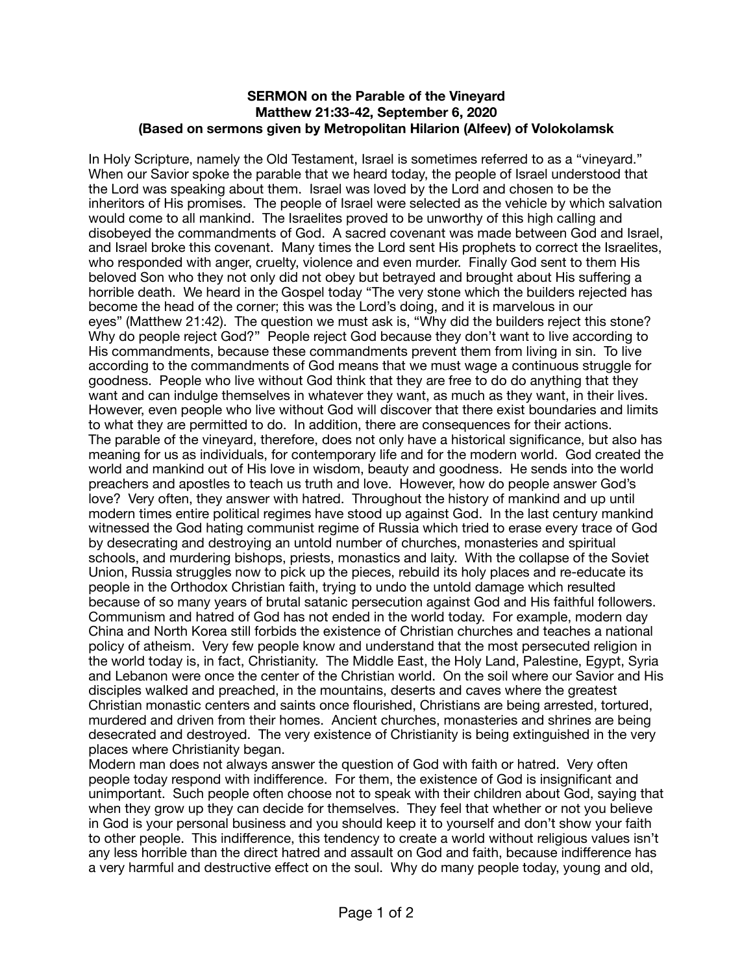## **SERMON on the Parable of the Vineyard Matthew 21:33-42, September 6, 2020 (Based on sermons given by Metropolitan Hilarion (Alfeev) of Volokolamsk**

In Holy Scripture, namely the Old Testament, Israel is sometimes referred to as a "vineyard." When our Savior spoke the parable that we heard today, the people of Israel understood that the Lord was speaking about them. Israel was loved by the Lord and chosen to be the inheritors of His promises. The people of Israel were selected as the vehicle by which salvation would come to all mankind. The Israelites proved to be unworthy of this high calling and disobeyed the commandments of God. A sacred covenant was made between God and Israel, and Israel broke this covenant. Many times the Lord sent His prophets to correct the Israelites, who responded with anger, cruelty, violence and even murder. Finally God sent to them His beloved Son who they not only did not obey but betrayed and brought about His suffering a horrible death. We heard in the Gospel today "The very stone which the builders rejected has become the head of the corner; this was the Lord's doing, and it is marvelous in our eyes" (Matthew 21:42). The question we must ask is, "Why did the builders reject this stone? Why do people reject God?" People reject God because they don't want to live according to His commandments, because these commandments prevent them from living in sin. To live according to the commandments of God means that we must wage a continuous struggle for goodness. People who live without God think that they are free to do do anything that they want and can indulge themselves in whatever they want, as much as they want, in their lives. However, even people who live without God will discover that there exist boundaries and limits to what they are permitted to do. In addition, there are consequences for their actions. The parable of the vineyard, therefore, does not only have a historical significance, but also has meaning for us as individuals, for contemporary life and for the modern world. God created the world and mankind out of His love in wisdom, beauty and goodness. He sends into the world preachers and apostles to teach us truth and love. However, how do people answer God's love? Very often, they answer with hatred. Throughout the history of mankind and up until modern times entire political regimes have stood up against God. In the last century mankind witnessed the God hating communist regime of Russia which tried to erase every trace of God by desecrating and destroying an untold number of churches, monasteries and spiritual schools, and murdering bishops, priests, monastics and laity. With the collapse of the Soviet Union, Russia struggles now to pick up the pieces, rebuild its holy places and re-educate its people in the Orthodox Christian faith, trying to undo the untold damage which resulted because of so many years of brutal satanic persecution against God and His faithful followers. Communism and hatred of God has not ended in the world today. For example, modern day China and North Korea still forbids the existence of Christian churches and teaches a national policy of atheism. Very few people know and understand that the most persecuted religion in the world today is, in fact, Christianity. The Middle East, the Holy Land, Palestine, Egypt, Syria and Lebanon were once the center of the Christian world. On the soil where our Savior and His disciples walked and preached, in the mountains, deserts and caves where the greatest Christian monastic centers and saints once flourished, Christians are being arrested, tortured, murdered and driven from their homes. Ancient churches, monasteries and shrines are being desecrated and destroyed. The very existence of Christianity is being extinguished in the very places where Christianity began.

Modern man does not always answer the question of God with faith or hatred. Very often people today respond with indifference. For them, the existence of God is insignificant and unimportant. Such people often choose not to speak with their children about God, saying that when they grow up they can decide for themselves. They feel that whether or not you believe in God is your personal business and you should keep it to yourself and don't show your faith to other people. This indifference, this tendency to create a world without religious values isn't any less horrible than the direct hatred and assault on God and faith, because indifference has a very harmful and destructive effect on the soul. Why do many people today, young and old,